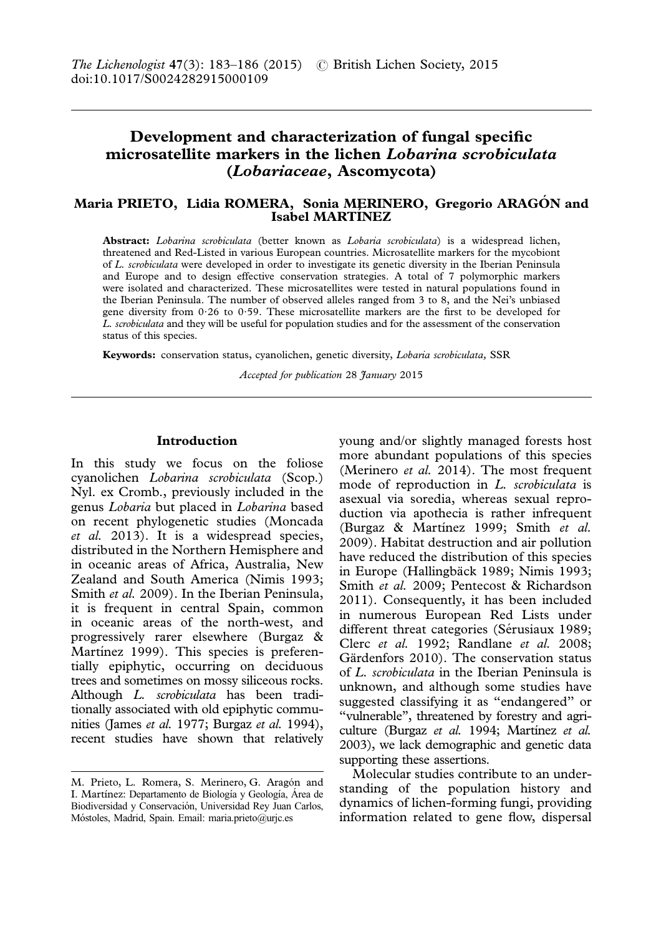# **Development and characterization of fungal specific microsatellite markers in the lichen** Lobarina scrobiculata **(**Lobariaceae**, Ascomycota)**

# **Maria PRIETO, Lidia ROMERA, Sonia MERINERO, Gregorio ARAGO´ N and Isabel MARTINEZ**

**Abstract:** Lobarina scrobiculata (better known as Lobaria scrobiculata) is a widespread lichen, threatened and Red-Listed in various European countries. Microsatellite markers for the mycobiont of L. scrobiculata were developed in order to investigate its genetic diversity in the Iberian Peninsula and Europe and to design effective conservation strategies. A total of 7 polymorphic markers were isolated and characterized. These microsatellites were tested in natural populations found in the Iberian Peninsula. The number of observed alleles ranged from 3 to 8, and the Nei's unbiased gene diversity from  $0.26$  to  $0.59$ . These microsatellite markers are the first to be developed for L. scrobiculata and they will be useful for population studies and for the assessment of the conservation status of this species.

**Keywords:** conservation status, cyanolichen, genetic diversity, Lobaria scrobiculata, SSR

Accepted for publication 28 January 2015

# **Introduction**

In this study we focus on the foliose cyanolichen Lobarina scrobiculata (Scop.) Nyl. ex Cromb., previously included in the genus Lobaria but placed in Lobarina based on recent phylogenetic studies (Moncada et al. [2013](#page-3-0)). It is a widespread species, distributed in the Northern Hemisphere and in oceanic areas of Africa, Australia, New Zealand and South America (Nimis [1993](#page-3-0); Smith et al. [2009\)](#page-3-0). In the Iberian Peninsula, it is frequent in central Spain, common in oceanic areas of the north-west, and progressively rarer elsewhere (Burgaz & Martinez [1999\)](#page-3-0). This species is preferentially epiphytic, occurring on deciduous trees and sometimes on mossy siliceous rocks. Although L. scrobiculata has been traditionally associated with old epiphytic communities (James et al. [1977](#page-3-0); Burgaz et al. [1994\)](#page-3-0), recent studies have shown that relatively young and/or slightly managed forests host more abundant populations of this species (Merinero et al. [2014\)](#page-3-0). The most frequent mode of reproduction in L. scrobiculata is asexual via soredia, whereas sexual reproduction via apothecia is rather infrequent (Burgaz & Martínez [1999](#page-3-0); Smith et al. [2009](#page-3-0)). Habitat destruction and air pollution have reduced the distribution of this species in Europe (Hallingbäck [1989;](#page-3-0) Nimis [1993](#page-3-0); Smith et al. [2009;](#page-3-0) Pentecost & Richardson [2011](#page-3-0)). Consequently, it has been included in numerous European Red Lists under different threat categories (Sérusiaux [1989](#page-3-0); Clerc et al. [1992;](#page-3-0) Randlane et al. [2008](#page-3-0); Gärdenfors [2010](#page-3-0)). The conservation status of L. scrobiculata in the Iberian Peninsula is unknown, and although some studies have suggested classifying it as ''endangered'' or ''vulnerable'', threatened by forestry and agri-culture (Burgaz et al. [1994](#page-3-0); Martínez et al. [2003\)](#page-3-0), we lack demographic and genetic data supporting these assertions.

Molecular studies contribute to an understanding of the population history and dynamics of lichen-forming fungi, providing information related to gene flow, dispersal

M. Prieto, L. Romera, S. Merinero, G. Aragón and I. Martínez: Departamento de Biología y Geología, Área de Biodiversidad y Conservación, Universidad Rey Juan Carlos, Mo´stoles, Madrid, Spain. Email: maria.prieto@urjc.es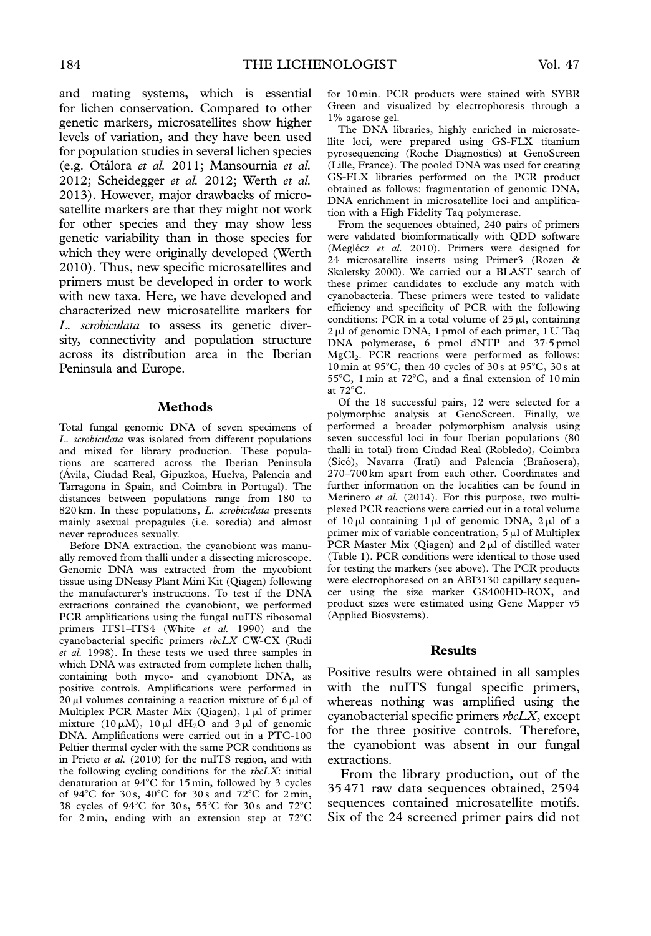and mating systems, which is essential for lichen conservation. Compared to other genetic markers, microsatellites show higher levels of variation, and they have been used for population studies in several lichen species (e.g. Otálora et al. [2011;](#page-3-0) Mansournia et al. [2012](#page-3-0); Scheidegger et al. [2012;](#page-3-0) Werth et al. [2013](#page-3-0)). However, major drawbacks of microsatellite markers are that they might not work for other species and they may show less genetic variability than in those species for which they were originally developed (Werth [2010](#page-3-0)). Thus, new specific microsatellites and primers must be developed in order to work with new taxa. Here, we have developed and characterized new microsatellite markers for L. scrobiculata to assess its genetic diversity, connectivity and population structure across its distribution area in the Iberian Peninsula and Europe.

### **Methods**

Total fungal genomic DNA of seven specimens of L. scrobiculata was isolated from different populations and mixed for library production. These populations are scattered across the Iberian Peninsula (Ávila, Ciudad Real, Gipuzkoa, Huelva, Palencia and Tarragona in Spain, and Coimbra in Portugal). The distances between populations range from 180 to 820 km. In these populations, L. scrobiculata presents mainly asexual propagules (i.e. soredia) and almost never reproduces sexually.

Before DNA extraction, the cyanobiont was manually removed from thalli under a dissecting microscope. Genomic DNA was extracted from the mycobiont tissue using DNeasy Plant Mini Kit (Qiagen) following the manufacturer's instructions. To test if the DNA extractions contained the cyanobiont, we performed PCR amplifications using the fungal nuITS ribosomal primers ITS1-ITS4 (White et al. [1990](#page-3-0)) and the cyanobacterial specific primers rbcLX CW-CX (Rudi et al. [1998\)](#page-3-0). In these tests we used three samples in which DNA was extracted from complete lichen thalli, containing both myco- and cyanobiont DNA, as positive controls. Amplifications were performed in  $20 \mu l$  volumes containing a reaction mixture of 6  $\mu l$  of Multiplex PCR Master Mix (Qiagen),  $1 \mu l$  of primer mixture (10  $\mu$ M), 10  $\mu$ l dH<sub>2</sub>O and 3  $\mu$ l of genomic DNA. Amplifications were carried out in a PTC-100 Peltier thermal cycler with the same PCR conditions as in Prieto et al. ([2010](#page-3-0)) for the nuITS region, and with the following cycling conditions for the  $rbcLX$ : initial denaturation at  $94^{\circ}$ C for 15 min, followed by 3 cycles of 94 $\mathrm{^{\circ}C}$  for 30 s, 40 $\mathrm{^{\circ}C}$  for 30 s and 72 $\mathrm{^{\circ}C}$  for 2 min, 38 cycles of  $94^{\circ}$ C for 30 s, 55°C for 30 s and 72°C for  $2 \text{ min}$ , ending with an extension step at  $72^{\circ}$ C for 10 min. PCR products were stained with SYBR Green and visualized by electrophoresis through a 1% agarose gel.

The DNA libraries, highly enriched in microsatellite loci, were prepared using GS-FLX titanium pyrosequencing (Roche Diagnostics) at GenoScreen (Lille, France). The pooled DNA was used for creating GS-FLX libraries performed on the PCR product obtained as follows: fragmentation of genomic DNA, DNA enrichment in microsatellite loci and amplification with a High Fidelity Taq polymerase.

From the sequences obtained, 240 pairs of primers were validated bioinformatically with QDD software (Meglécz et al. [2010](#page-3-0)). Primers were designed for 24 microsatellite inserts using Primer3 (Rozen & Skaletsky [2000](#page-3-0)). We carried out a BLAST search of these primer candidates to exclude any match with cyanobacteria. These primers were tested to validate efficiency and specificity of PCR with the following conditions: PCR in a total volume of  $25 \mu l$ , containing 2 µl of genomic DNA, 1 pmol of each primer, 1 U Taq DNA polymerase, 6 pmol dNTP and 37?5 pmol MgCl2. PCR reactions were performed as follows: 10 min at 95 $\degree$ C, then 40 cycles of 30 s at 95 $\degree$ C, 30 s at 55°C, 1 min at 72°C, and a final extension of 10 min at 72°C.

Of the 18 successful pairs, 12 were selected for a polymorphic analysis at GenoScreen. Finally, we performed a broader polymorphism analysis using seven successful loci in four Iberian populations (80 thalli in total) from Ciudad Real (Robledo), Coimbra (Sicó), Navarra (Irati) and Palencia (Brañosera), 270–700 km apart from each other. Coordinates and further information on the localities can be found in Merinero et al. ([2014](#page-3-0)). For this purpose, two multiplexed PCR reactions were carried out in a total volume of  $10 \mu l$  containing  $1 \mu l$  of genomic DNA,  $2 \mu l$  of a primer mix of variable concentration,  $5 \mu l$  of Multiplex PCR Master Mix (Qiagen) and  $2 \mu l$  of distilled water [\(Table 1](#page-2-0)). PCR conditions were identical to those used for testing the markers (see above). The PCR products were electrophoresed on an ABI3130 capillary sequencer using the size marker GS400HD-ROX, and product sizes were estimated using Gene Mapper v5 (Applied Biosystems).

# **Results**

Positive results were obtained in all samples with the nuITS fungal specific primers, whereas nothing was amplified using the cyanobacterial specific primers rbcLX, except for the three positive controls. Therefore, the cyanobiont was absent in our fungal extractions.

From the library production, out of the 35 471 raw data sequences obtained, 2594 sequences contained microsatellite motifs. Six of the 24 screened primer pairs did not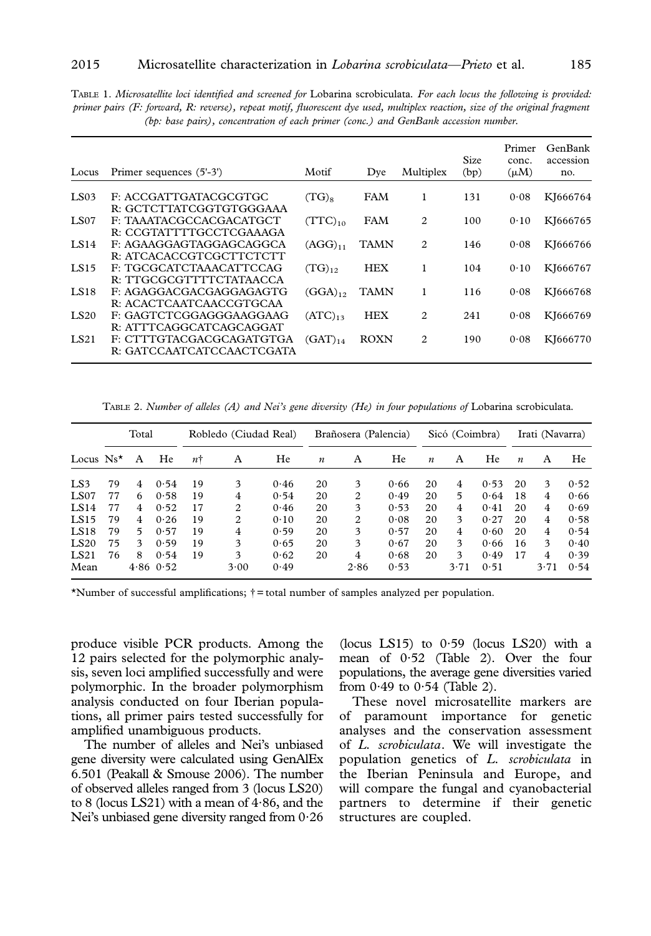<span id="page-2-0"></span>TABLE 1. Microsatellite loci identified and screened for Lobarina scrobiculata. For each locus the following is provided: primer pairs (F: forward, R: reverse), repeat motif, fluorescent dye used, multiplex reaction, size of the original fragment (bp: base pairs), concentration of each primer (conc.) and GenBank accession number.

| Locus       | Primer sequences (5'-3')  | Motif        | Dye         | Multiplex | Size<br>(bp) | Primer<br>conc.<br>$(\mu M)$ | GenBank<br>accession<br>no. |
|-------------|---------------------------|--------------|-------------|-----------|--------------|------------------------------|-----------------------------|
| LS03        | F: ACCGATTGATACGCGTGC     | $(TG)_{8}$   | FAM         | 1         | 131          | 0.08                         | KJ666764                    |
|             | R: GCTCTTATCGGTGTGGGAAA   |              |             |           |              |                              |                             |
| <b>LS07</b> | F: TAAATACGCCACGACATGCT   | $(TTC)_{10}$ | FAM         | 2         | 100          | 0.10                         | KJ666765                    |
|             | R: CCGTATTTTGCCTCGAAAGA   |              |             |           |              |                              |                             |
| <b>LS14</b> | F: AGAAGGAGTAGGAGCAGGCA   | $(AGG)_{11}$ | TAMN        | 2         | 146          | 0.08                         | KJ666766                    |
|             | R: ATCACACCGTCGCTTCTCTT   |              |             |           |              |                              |                             |
| LS15        | F: TGCGCATCTAAACATTCCAG   | $(TG)_{12}$  | <b>HEX</b>  | 1         | 104          | 0.10                         | KI666767                    |
|             | R: TTGCGCGTTTTCTATAACCA   |              |             |           |              |                              |                             |
| <b>LS18</b> | F: AGAGGACGACGAGGAGAGTG   | $(GGA)_{12}$ | TAMN        | 1         | 116          | 0.08                         | KJ666768                    |
|             | R: ACACTCAATCAACCGTGCAA   |              |             |           |              |                              |                             |
| <b>LS20</b> | F: GAGTCTCGGAGGGAAGGAAG   | $(ATC)_{13}$ | <b>HEX</b>  | 2         | 241          | 0.08                         | KJ666769                    |
|             | R: ATTTCAGGCATCAGCAGGAT   |              |             |           |              |                              |                             |
| LS21        | F: CTTTGTACGACGCAGATGTGA  | $(GAT)_{14}$ | <b>ROXN</b> | 2         | 190          | 0.08                         | KJ666770                    |
|             | R: GATCCAATCATCCAACTCGATA |              |             |           |              |                              |                             |
|             |                           |              |             |           |              |                              |                             |

TABLE 2. Number of alleles (A) and Nei's gene diversity (He) in four populations of Lobarina scrobiculata.

|                    | Total |    | Robledo (Ciudad Real) |    | Brañosera (Palencia) |      |                  | Sicó (Coimbra) |      |                  | Irati (Navarra) |      |                  |      |      |
|--------------------|-------|----|-----------------------|----|----------------------|------|------------------|----------------|------|------------------|-----------------|------|------------------|------|------|
| Locus $Ns^{\star}$ |       | A  | He                    | nt | A                    | He   | $\boldsymbol{n}$ | A              | He   | $\boldsymbol{n}$ | A               | He   | $\boldsymbol{n}$ | A    | He   |
| LS3                | 79    | 4  | 0.54                  | 19 | 3                    | 0.46 | 20               | 3              | 0.66 | 20               | 4               | 0.53 | 20               | 3    | 0.52 |
| LS07               | 77    | 6  | 0.58                  | 19 | 4                    | 0.54 | 20               | 2              | 0.49 | 20               | 5               | 0.64 | 18               | 4    | 0.66 |
| LS14               | 77    | 4  | 0.52                  | 17 | 2                    | 0.46 | 20               | 3              | 0.53 | 20               | 4               | 0.41 | 20               | 4    | 0.69 |
| LS15               | 79    | 4  | 0.26                  | 19 | 2                    | 0.10 | 20               | 2              | 0.08 | 20               | 3               | 0.27 | 20               | 4    | 0.58 |
| LS18               | 79    | 5. | 0.57                  | 19 | 4                    | 0.59 | 20               | 3              | 0.57 | 20               | 4               | 0.60 | 20               | 4    | 0.54 |
| LS20               | 75    | 3  | 0.59                  | 19 | 3                    | 0.65 | 20               | 3              | 0.67 | 20               | 3               | 0.66 | 16               | 3    | 0.40 |
| LS21               | 76    | 8  | 0.54                  | 19 | 3                    | 0.62 | 20               | 4              | 0.68 | 20               | 3               | 0.49 | 17               | 4    | 0.39 |
| Mean               |       |    | $4.86$ 0.52           |    | 3.00                 | 0.49 |                  | 2.86           | 0.53 |                  | 3.71            | 0.51 |                  | 3.71 | 0.54 |

\*Number of successful amplifications;  $\dagger$  = total number of samples analyzed per population.

produce visible PCR products. Among the 12 pairs selected for the polymorphic analysis, seven loci amplified successfully and were polymorphic. In the broader polymorphism analysis conducted on four Iberian populations, all primer pairs tested successfully for amplified unambiguous products.

The number of alleles and Nei's unbiased gene diversity were calculated using GenAlEx 6.501 (Peakall & Smouse [2006\)](#page-3-0). The number of observed alleles ranged from 3 (locus LS20) to 8 (locus LS21) with a mean of  $4.86$ , and the Nei's unbiased gene diversity ranged from  $0.26$  (locus LS15) to  $0.59$  (locus LS20) with a mean of 0.52 (Table 2). Over the four populations, the average gene diversities varied from  $0.49$  to  $0.54$  (Table 2).

These novel microsatellite markers are of paramount importance for genetic analyses and the conservation assessment of L. scrobiculata. We will investigate the population genetics of L. scrobiculata in the Iberian Peninsula and Europe, and will compare the fungal and cyanobacterial partners to determine if their genetic structures are coupled.